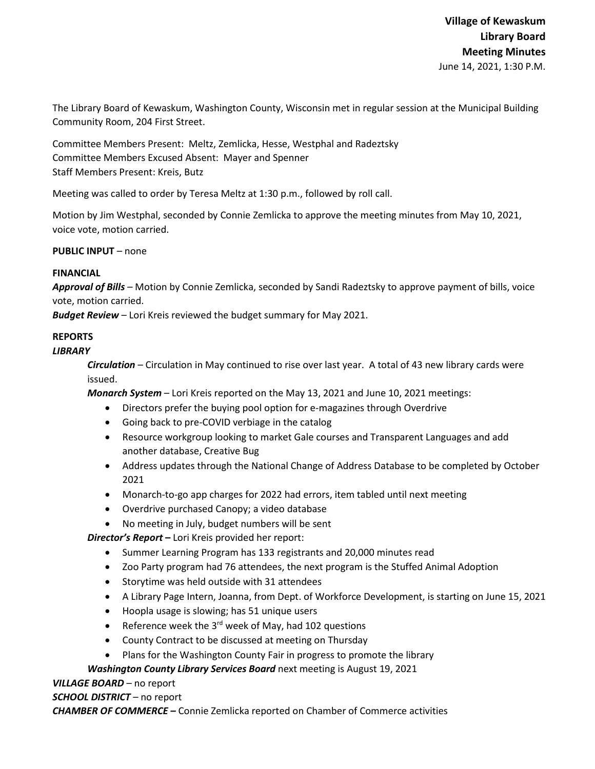The Library Board of Kewaskum, Washington County, Wisconsin met in regular session at the Municipal Building Community Room, 204 First Street.

Committee Members Present: Meltz, Zemlicka, Hesse, Westphal and Radeztsky Committee Members Excused Absent: Mayer and Spenner Staff Members Present: Kreis, Butz

Meeting was called to order by Teresa Meltz at 1:30 p.m., followed by roll call.

Motion by Jim Westphal, seconded by Connie Zemlicka to approve the meeting minutes from May 10, 2021, voice vote, motion carried.

**PUBLIC INPUT** – none

### **FINANCIAL**

*Approval of Bills –* Motion by Connie Zemlicka, seconded by Sandi Radeztsky to approve payment of bills, voice vote, motion carried.

*Budget Review* – Lori Kreis reviewed the budget summary for May 2021.

# **REPORTS**

### *LIBRARY*

*Circulation* – Circulation in May continued to rise over last year. A total of 43 new library cards were issued.

*Monarch System* – Lori Kreis reported on the May 13, 2021 and June 10, 2021 meetings:

- Directors prefer the buying pool option for e-magazines through Overdrive
- Going back to pre-COVID verbiage in the catalog
- Resource workgroup looking to market Gale courses and Transparent Languages and add another database, Creative Bug
- Address updates through the National Change of Address Database to be completed by October 2021
- Monarch-to-go app charges for 2022 had errors, item tabled until next meeting
- Overdrive purchased Canopy; a video database
- No meeting in July, budget numbers will be sent

*Director's Report* **–** Lori Kreis provided her report:

- Summer Learning Program has 133 registrants and 20,000 minutes read
- Zoo Party program had 76 attendees, the next program is the Stuffed Animal Adoption
- Storytime was held outside with 31 attendees
- A Library Page Intern, Joanna, from Dept. of Workforce Development, is starting on June 15, 2021
- Hoopla usage is slowing; has 51 unique users
- Reference week the  $3^{rd}$  week of May, had 102 questions
- County Contract to be discussed at meeting on Thursday
- Plans for the Washington County Fair in progress to promote the library

## *Washington County Library Services Board* next meeting is August 19, 2021

## *VILLAGE BOARD* – no report

*SCHOOL DISTRICT* – no report

*CHAMBER OF COMMERCE –* Connie Zemlicka reported on Chamber of Commerce activities